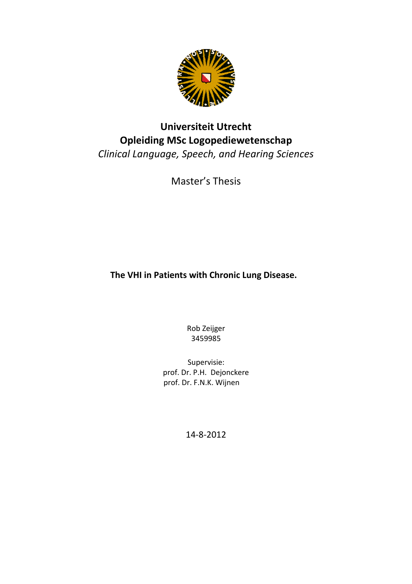

# Universiteit Utrecht Opleiding MSc Logopediewetenschap Clinical Language, Speech, and Hearing Sciences

Master's Thesis

The VHI in Patients with Chronic Lung Disease.

Rob Zeijger 3459985

Supervisie: prof. Dr. P.H. Dejonckere prof. Dr. F.N.K. Wijnen

14-8-2012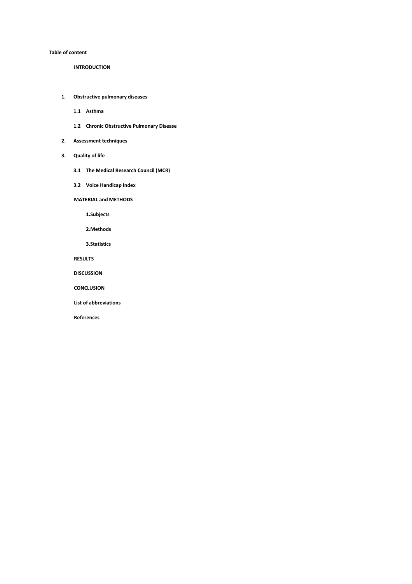#### Table of content

INTRODUCTION

- 1. Obstructive pulmonary diseases
	- 1.1 Asthma
	- 1.2 Chronic Obstructive Pulmonary Disease
- 2. Assessment techniques
- 3. Quality of life
	- 3.1 The Medical Research Council (MCR)
	- 3.2 Voice Handicap Index

MATERIAL and METHODS

1.Subjects

2.Methods

3.Statistics

RESULTS

DISCUSSION

**CONCLUSION** 

List of abbreviations

References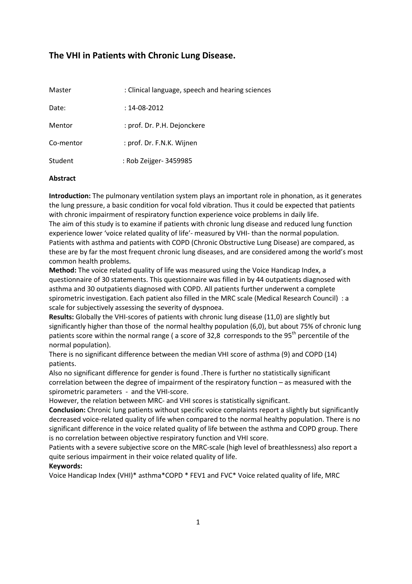# The VHI in Patients with Chronic Lung Disease.

| Master    | : Clinical language, speech and hearing sciences |
|-----------|--------------------------------------------------|
| Date:     | $: 14 - 08 - 2012$                               |
| Mentor    | : prof. Dr. P.H. Dejonckere                      |
| Co-mentor | : prof. Dr. F.N.K. Wijnen                        |
| Student   | : Rob Zeijger- 3459985                           |

#### Abstract

Introduction: The pulmonary ventilation system plays an important role in phonation, as it generates the lung pressure, a basic condition for vocal fold vibration. Thus it could be expected that patients with chronic impairment of respiratory function experience voice problems in daily life. The aim of this study is to examine if patients with chronic lung disease and reduced lung function experience lower 'voice related quality of life'- measured by VHI- than the normal population. Patients with asthma and patients with COPD (Chronic Obstructive Lung Disease) are compared, as these are by far the most frequent chronic lung diseases, and are considered among the world's most common health problems.

Method: The voice related quality of life was measured using the Voice Handicap Index, a questionnaire of 30 statements. This questionnaire was filled in by 44 outpatients diagnosed with asthma and 30 outpatients diagnosed with COPD. All patients further underwent a complete spirometric investigation. Each patient also filled in the MRC scale (Medical Research Council) : a scale for subjectively assessing the severity of dyspnoea.

Results: Globally the VHI-scores of patients with chronic lung disease (11,0) are slightly but significantly higher than those of the normal healthy population (6,0), but about 75% of chronic lung patients score within the normal range ( a score of 32,8 corresponds to the  $95<sup>th</sup>$  percentile of the normal population).

There is no significant difference between the median VHI score of asthma (9) and COPD (14) patients.

Also no significant difference for gender is found .There is further no statistically significant correlation between the degree of impairment of the respiratory function – as measured with the spirometric parameters - and the VHI-score.

However, the relation between MRC- and VHI scores is statistically significant.

Conclusion: Chronic lung patients without specific voice complaints report a slightly but significantly decreased voice-related quality of life when compared to the normal healthy population. There is no significant difference in the voice related quality of life between the asthma and COPD group. There is no correlation between objective respiratory function and VHI score.

Patients with a severe subjective score on the MRC-scale (high level of breathlessness) also report a quite serious impairment in their voice related quality of life.

## Keywords:

Voice Handicap Index (VHI)\* asthma\*COPD \* FEV1 and FVC\* Voice related quality of life, MRC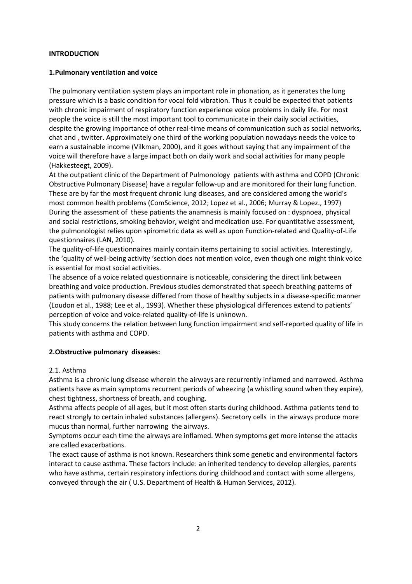#### INTRODUCTION

#### 1.Pulmonary ventilation and voice

The pulmonary ventilation system plays an important role in phonation, as it generates the lung pressure which is a basic condition for vocal fold vibration. Thus it could be expected that patients with chronic impairment of respiratory function experience voice problems in daily life. For most people the voice is still the most important tool to communicate in their daily social activities, despite the growing importance of other real-time means of communication such as social networks, chat and , twitter. Approximately one third of the working population nowadays needs the voice to earn a sustainable income (Vilkman, 2000), and it goes without saying that any impairment of the voice will therefore have a large impact both on daily work and social activities for many people (Hakkesteegt, 2009).

At the outpatient clinic of the Department of Pulmonology patients with asthma and COPD (Chronic Obstructive Pulmonary Disease) have a regular follow-up and are monitored for their lung function. These are by far the most frequent chronic lung diseases, and are considered among the world's most common health problems (ComScience, 2012; Lopez et al., 2006; Murray & Lopez., 1997) During the assessment of these patients the anamnesis is mainly focused on : dyspnoea, physical and social restrictions, smoking behavior, weight and medication use. For quantitative assessment, the pulmonologist relies upon spirometric data as well as upon Function-related and Quality-of-Life questionnaires (LAN, 2010).

The quality-of-life questionnaires mainly contain items pertaining to social activities. Interestingly, the 'quality of well-being activity 'section does not mention voice, even though one might think voice is essential for most social activities.

The absence of a voice related questionnaire is noticeable, considering the direct link between breathing and voice production. Previous studies demonstrated that speech breathing patterns of patients with pulmonary disease differed from those of healthy subjects in a disease-specific manner (Loudon et al., 1988; Lee et al., 1993). Whether these physiological differences extend to patients' perception of voice and voice-related quality-of-life is unknown.

This study concerns the relation between lung function impairment and self-reported quality of life in patients with asthma and COPD.

## 2.Obstructive pulmonary diseases:

#### 2.1. Asthma

Asthma is a chronic lung disease wherein the airways are recurrently inflamed and narrowed. Asthma patients have as main symptoms recurrent periods of wheezing (a whistling sound when they expire), chest tightness, shortness of breath, and coughing.

Asthma affects people of all ages, but it most often starts during childhood. Asthma patients tend to react strongly to certain inhaled substances (allergens). Secretory cells in the airways produce more mucus than normal, further narrowing the airways.

Symptoms occur each time the airways are inflamed. When symptoms get more intense the attacks are called exacerbations.

The exact cause of asthma is not known. Researchers think some genetic and environmental factors interact to cause asthma. These factors include: an inherited tendency to develop allergies, parents who have asthma, certain respiratory infections during childhood and contact with some allergens, conveyed through the air ( U.S. Department of Health & Human Services, 2012).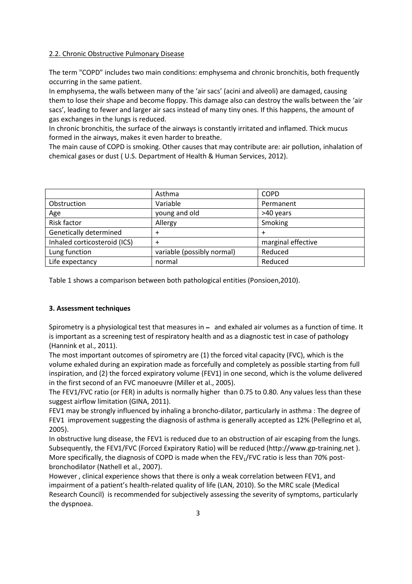## 2.2. Chronic Obstructive Pulmonary Disease

The term "COPD" includes two main conditions: emphysema and chronic bronchitis, both frequently occurring in the same patient.

In emphysema, the walls between many of the 'air sacs' (acini and alveoli) are damaged, causing them to lose their shape and become floppy. This damage also can destroy the walls between the 'air sacs', leading to fewer and larger air sacs instead of many tiny ones. If this happens, the amount of gas exchanges in the lungs is reduced.

In chronic bronchitis, the surface of the airways is constantly irritated and inflamed. Thick mucus formed in the airways, makes it even harder to breathe.

The main cause of COPD is smoking. Other causes that may contribute are: air pollution, inhalation of chemical gases or dust ( U.S. Department of Health & Human Services, 2012).

|                              | Asthma                     | <b>COPD</b>        |
|------------------------------|----------------------------|--------------------|
| Obstruction                  | Variable                   | Permanent          |
| Age                          | young and old              | >40 years          |
| Risk factor                  | Allergy                    | Smoking            |
| Genetically determined       | +                          | +                  |
| Inhaled corticosteroid (ICS) |                            | marginal effective |
| Lung function                | variable (possibly normal) | Reduced            |
| Life expectancy              | normal                     | Reduced            |

Table 1 shows a comparison between both pathological entities (Ponsioen,2010).

## 3. Assessment techniques

Spirometry is a physiological test that measures in  $-$  and exhaled air volumes as a function of time. It is important as a screening test of respiratory health and as a diagnostic test in case of pathology (Hannink et al., 2011).

The most important outcomes of spirometry are (1) the forced vital capacity (FVC), which is the volume exhaled during an expiration made as forcefully and completely as possible starting from full inspiration, and (2) the forced expiratory volume (FEV1) in one second, which is the volume delivered in the first second of an FVC manoeuvre (Miller et al., 2005).

The FEV1/FVC ratio (or FER) in adults is normally higher than 0.75 to 0.80. Any values less than these suggest airflow limitation (GINA, 2011).

FEV1 may be strongly influenced by inhaling a broncho-dilator, particularly in asthma : The degree of FEV1 improvement suggesting the diagnosis of asthma is generally accepted as 12% (Pellegrino et al, 2005).

In obstructive lung disease, the FEV1 is reduced due to an obstruction of air escaping from the lungs. Subsequently, the FEV1/FVC (Forced Expiratory Ratio) will be reduced (http://www.gp-training.net ). More specifically, the diagnosis of COPD is made when the FEV<sub>1</sub>/FVC ratio is less than 70% postbronchodilator (Nathell et al., 2007).

However , clinical experience shows that there is only a weak correlation between FEV1, and impairment of a patient's health-related quality of life (LAN, 2010). So the MRC scale (Medical Research Council) is recommended for subjectively assessing the severity of symptoms, particularly the dyspnoea.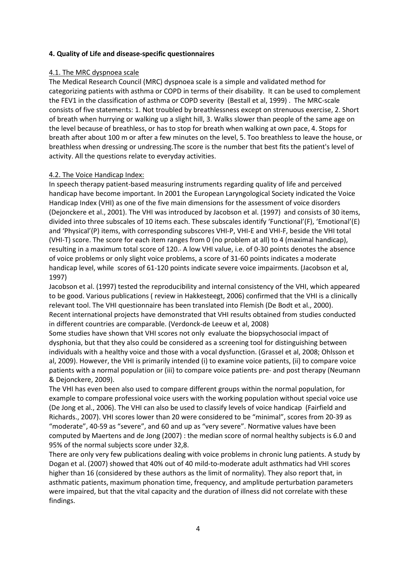#### 4. Quality of Life and disease-specific questionnaires

#### 4.1. The MRC dyspnoea scale

The Medical Research Council (MRC) dyspnoea scale is a simple and validated method for categorizing patients with asthma or COPD in terms of their disability. It can be used to complement the FEV1 in the classification of asthma or COPD severity (Bestall et al, 1999) . The MRC-scale consists of five statements: 1. Not troubled by breathlessness except on strenuous exercise, 2. Short of breath when hurrying or walking up a slight hill, 3. Walks slower than people of the same age on the level because of breathless, or has to stop for breath when walking at own pace, 4. Stops for breath after about 100 m or after a few minutes on the level, 5. Too breathless to leave the house, or breathless when dressing or undressing.The score is the number that best fits the patient's level of activity. All the questions relate to everyday activities.

#### 4.2. The Voice Handicap Index:

In speech therapy patient-based measuring instruments regarding quality of life and perceived handicap have become important. In 2001 the European Laryngological Society indicated the Voice Handicap Index (VHI) as one of the five main dimensions for the assessment of voice disorders (Dejonckere et al., 2001). The VHI was introduced by Jacobson et al. (1997) and consists of 30 items, divided into three subscales of 10 items each. These subscales identify 'Functional'(F), 'Emotional'(E) and 'Physical'(P) items, with corresponding subscores VHI-P, VHI-E and VHI-F, beside the VHI total (VHI-T) score. The score for each item ranges from 0 (no problem at all) to 4 (maximal handicap), resulting in a maximum total score of 120. A low VHI value, i.e. of 0-30 points denotes the absence of voice problems or only slight voice problems, a score of 31-60 points indicates a moderate handicap level, while scores of 61-120 points indicate severe voice impairments. (Jacobson et al, 1997)

Jacobson et al. (1997) tested the reproducibility and internal consistency of the VHI, which appeared to be good. Various publications ( review in Hakkesteegt, 2006) confirmed that the VHI is a clinically relevant tool. The VHI questionnaire has been translated into Flemish (De Bodt et al., 2000). Recent international projects have demonstrated that VHI results obtained from studies conducted in different countries are comparable. (Verdonck-de Leeuw et al, 2008)

Some studies have shown that VHI scores not only evaluate the biopsychosocial impact of dysphonia, but that they also could be considered as a screening tool for distinguishing between individuals with a healthy voice and those with a vocal dysfunction. (Grassel et al, 2008; Ohlsson et al, 2009). However, the VHI is primarily intended (i) to examine voice patients, (ii) to compare voice patients with a normal population or (iii) to compare voice patients pre- and post therapy (Neumann & Dejonckere, 2009).

The VHI has even been also used to compare different groups within the normal population, for example to compare professional voice users with the working population without special voice use (De Jong et al., 2006). The VHI can also be used to classify levels of voice handicap (Fairfield and Richards., 2007). VHI scores lower than 20 were considered to be "minimal", scores from 20-39 as "moderate", 40-59 as "severe", and 60 and up as "very severe". Normative values have been computed by Maertens and de Jong (2007) : the median score of normal healthy subjects is 6.0 and 95% of the normal subjects score under 32,8.

There are only very few publications dealing with voice problems in chronic lung patients. A study by Dogan et al. (2007) showed that 40% out of 40 mild-to-moderate adult asthmatics had VHI scores higher than 16 (considered by these authors as the limit of normality). They also report that, in asthmatic patients, maximum phonation time, frequency, and amplitude perturbation parameters were impaired, but that the vital capacity and the duration of illness did not correlate with these findings.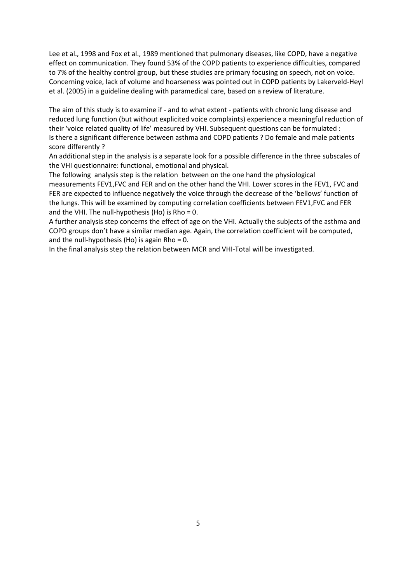Lee et al., 1998 and Fox et al., 1989 mentioned that pulmonary diseases, like COPD, have a negative effect on communication. They found 53% of the COPD patients to experience difficulties, compared to 7% of the healthy control group, but these studies are primary focusing on speech, not on voice. Concerning voice, lack of volume and hoarseness was pointed out in COPD patients by Lakerveld-Heyl et al. (2005) in a guideline dealing with paramedical care, based on a review of literature.

The aim of this study is to examine if - and to what extent - patients with chronic lung disease and reduced lung function (but without explicited voice complaints) experience a meaningful reduction of their 'voice related quality of life' measured by VHI. Subsequent questions can be formulated : Is there a significant difference between asthma and COPD patients ? Do female and male patients score differently ?

An additional step in the analysis is a separate look for a possible difference in the three subscales of the VHI questionnaire: functional, emotional and physical.

The following analysis step is the relation between on the one hand the physiological measurements FEV1,FVC and FER and on the other hand the VHI. Lower scores in the FEV1, FVC and FER are expected to influence negatively the voice through the decrease of the 'bellows' function of the lungs. This will be examined by computing correlation coefficients between FEV1,FVC and FER and the VHI. The null-hypothesis (Ho) is Rho = 0.

A further analysis step concerns the effect of age on the VHI. Actually the subjects of the asthma and COPD groups don't have a similar median age. Again, the correlation coefficient will be computed, and the null-hypothesis (Ho) is again Rho =  $0$ .

In the final analysis step the relation between MCR and VHI-Total will be investigated.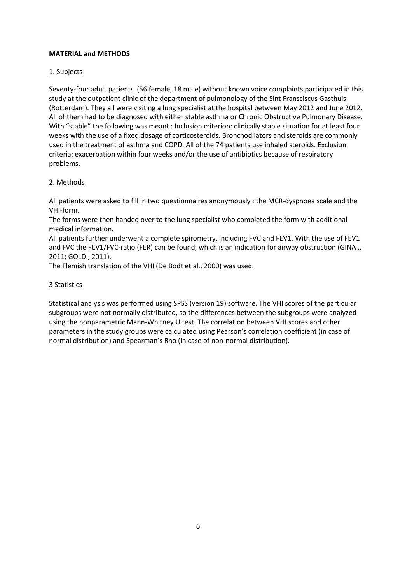## MATERIAL and METHODS

## 1. Subjects

Seventy-four adult patients (56 female, 18 male) without known voice complaints participated in this study at the outpatient clinic of the department of pulmonology of the Sint Fransciscus Gasthuis (Rotterdam). They all were visiting a lung specialist at the hospital between May 2012 and June 2012. All of them had to be diagnosed with either stable asthma or Chronic Obstructive Pulmonary Disease. With "stable" the following was meant : Inclusion criterion: clinically stable situation for at least four weeks with the use of a fixed dosage of corticosteroids. Bronchodilators and steroids are commonly used in the treatment of asthma and COPD. All of the 74 patients use inhaled steroids. Exclusion criteria: exacerbation within four weeks and/or the use of antibiotics because of respiratory problems.

## 2. Methods

All patients were asked to fill in two questionnaires anonymously : the MCR-dyspnoea scale and the VHI-form.

The forms were then handed over to the lung specialist who completed the form with additional medical information.

All patients further underwent a complete spirometry, including FVC and FEV1. With the use of FEV1 and FVC the FEV1/FVC-ratio (FER) can be found, which is an indication for airway obstruction (GINA ., 2011; GOLD., 2011).

The Flemish translation of the VHI (De Bodt et al., 2000) was used.

## 3 Statistics

Statistical analysis was performed using SPSS (version 19) software. The VHI scores of the particular subgroups were not normally distributed, so the differences between the subgroups were analyzed using the nonparametric Mann-Whitney U test. The correlation between VHI scores and other parameters in the study groups were calculated using Pearson's correlation coefficient (in case of normal distribution) and Spearman's Rho (in case of non-normal distribution).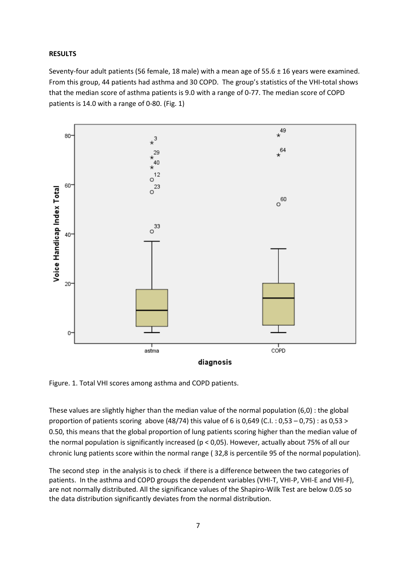#### RESULTS

Seventy-four adult patients (56 female, 18 male) with a mean age of 55.6 ± 16 years were examined. From this group, 44 patients had asthma and 30 COPD. The group's statistics of the VHI-total shows that the median score of asthma patients is 9.0 with a range of 0-77. The median score of COPD patients is 14.0 with a range of 0-80. (Fig. 1)



Figure. 1. Total VHI scores among asthma and COPD patients.

These values are slightly higher than the median value of the normal population (6,0) : the global proportion of patients scoring above (48/74) this value of 6 is 0,649 (C.I. : 0,53 – 0,75) : as 0,53 > 0.50, this means that the global proportion of lung patients scoring higher than the median value of the normal population is significantly increased (p < 0,05). However, actually about 75% of all our chronic lung patients score within the normal range ( 32,8 is percentile 95 of the normal population).

The second step in the analysis is to check if there is a difference between the two categories of patients. In the asthma and COPD groups the dependent variables (VHI-T, VHI-P, VHI-E and VHI-F), are not normally distributed. All the significance values of the Shapiro-Wilk Test are below 0.05 so the data distribution significantly deviates from the normal distribution.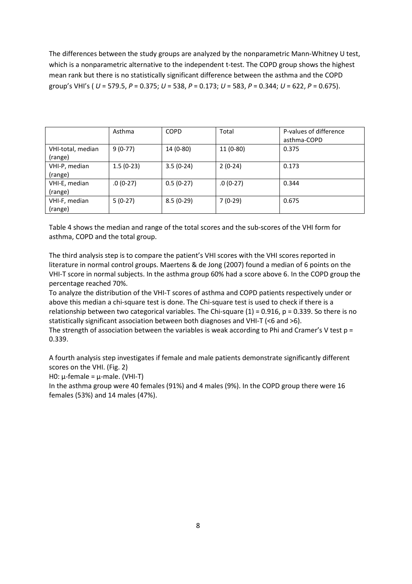The differences between the study groups are analyzed by the nonparametric Mann-Whitney U test, which is a nonparametric alternative to the independent t-test. The COPD group shows the highest mean rank but there is no statistically significant difference between the asthma and the COPD group's VHI's (  $U = 579.5$ ,  $P = 0.375$ ;  $U = 538$ ,  $P = 0.173$ ;  $U = 583$ ,  $P = 0.344$ ;  $U = 622$ ,  $P = 0.675$ ).

|                   | Asthma      | <b>COPD</b> | Total      | P-values of difference |
|-------------------|-------------|-------------|------------|------------------------|
|                   |             |             |            | asthma-COPD            |
| VHI-total, median | $9(0-77)$   | 14 (0-80)   | $11(0-80)$ | 0.375                  |
| (range)           |             |             |            |                        |
| VHI-P, median     | $1.5(0-23)$ | $3.5(0-24)$ | $2(0-24)$  | 0.173                  |
| (range)           |             |             |            |                        |
| VHI-E, median     | $.0(0-27)$  | $0.5(0-27)$ | $.0(0-27)$ | 0.344                  |
| (range)           |             |             |            |                        |
| VHI-F, median     | $5(0-27)$   | $8.5(0-29)$ | $7(0-29)$  | 0.675                  |
| (range)           |             |             |            |                        |

Table 4 shows the median and range of the total scores and the sub-scores of the VHI form for asthma, COPD and the total group.

The third analysis step is to compare the patient's VHI scores with the VHI scores reported in literature in normal control groups. Maertens & de Jong (2007) found a median of 6 points on the VHI-T score in normal subjects. In the asthma group 60% had a score above 6. In the COPD group the percentage reached 70%.

To analyze the distribution of the VHI-T scores of asthma and COPD patients respectively under or above this median a chi-square test is done. The Chi-square test is used to check if there is a relationship between two categorical variables. The Chi-square  $(1)$  = 0.916, p = 0.339. So there is no statistically significant association between both diagnoses and VHI-T (<6 and >6).

The strength of association between the variables is weak according to Phi and Cramer's V test  $p =$ 0.339.

A fourth analysis step investigates if female and male patients demonstrate significantly different scores on the VHI. (Fig. 2)

H0: μ-female = μ-male. (VHI-T)

In the asthma group were 40 females (91%) and 4 males (9%). In the COPD group there were 16 females (53%) and 14 males (47%).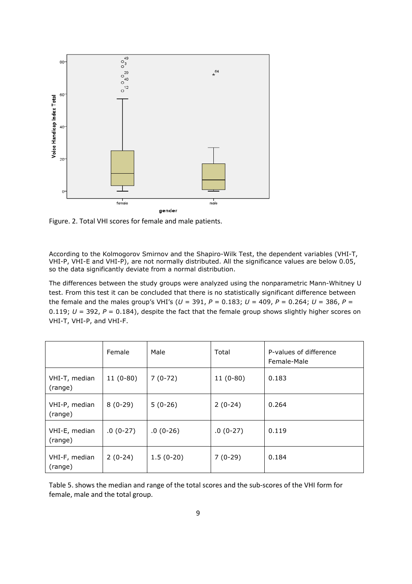

Figure. 2. Total VHI scores for female and male patients.

According to the Kolmogorov Smirnov and the Shapiro-Wilk Test, the dependent variables (VHI-T, VHI-P, VHI-E and VHI-P), are not normally distributed. All the significance values are below 0.05, so the data significantly deviate from a normal distribution.

The differences between the study groups were analyzed using the nonparametric Mann-Whitney U test. From this test it can be concluded that there is no statistically significant difference between the female and the males group's VHI's ( $U = 391$ ,  $P = 0.183$ ;  $U = 409$ ,  $P = 0.264$ ;  $U = 386$ ,  $P =$ 0.119;  $U = 392$ ,  $P = 0.184$ ), despite the fact that the female group shows slightly higher scores on VHI-T, VHI-P, and VHI-F.

|                          | Female     | Male        | Total      | P-values of difference<br>Female-Male |
|--------------------------|------------|-------------|------------|---------------------------------------|
| VHI-T, median<br>(range) | $11(0-80)$ | $7(0-72)$   | $11(0-80)$ | 0.183                                 |
| VHI-P, median<br>(range) | $8(0-29)$  | $5(0-26)$   | $2(0-24)$  | 0.264                                 |
| VHI-E, median<br>(range) | $.0(0-27)$ | $.0(0-26)$  | $.0(0-27)$ | 0.119                                 |
| VHI-F, median<br>(range) | $2(0-24)$  | $1.5(0-20)$ | $7(0-29)$  | 0.184                                 |

Table 5. shows the median and range of the total scores and the sub-scores of the VHI form for female, male and the total group.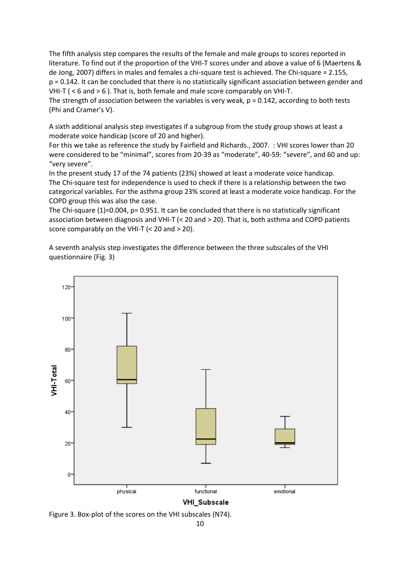The fifth analysis step compares the results of the female and male groups to scores reported in literature. To find out if the proportion of the VHI-T scores under and above a value of 6 (Maertens & de Jong, 2007) differs in males and females a chi-square test is achieved. The Chi-square = 2.155, p = 0.142. It can be concluded that there is no statistically significant association between gender and VHI-T ( < 6 and > 6 ). That is, both female and male score comparably on VHI-T.

The strength of association between the variables is very weak,  $p = 0.142$ , according to both tests (Phi and Cramer's V).

A sixth additional analysis step investigates if a subgroup from the study group shows at least a moderate voice handicap (score of 20 and higher).

For this we take as reference the study by Fairfield and Richards., 2007. : VHI scores lower than 20 were considered to be "minimal", scores from 20-39 as "moderate", 40-59: "severe", and 60 and up: "very severe".

In the present study 17 of the 74 patients (23%) showed at least a moderate voice handicap. The Chi-square test for independence is used to check if there is a relationship between the two categorical variables. For the asthma group 23% scored at least a moderate voice handicap. For the COPD group this was also the case.

The Chi-square (1)=0.004, p= 0.951. It can be concluded that there is no statistically significant association between diagnosis and VHI-T (< 20 and > 20). That is, both asthma and COPD patients score comparably on the VHI-T (< 20 and > 20).

A seventh analysis step investigates the difference between the three subscales of the VHI questionnaire (Fig. 3)

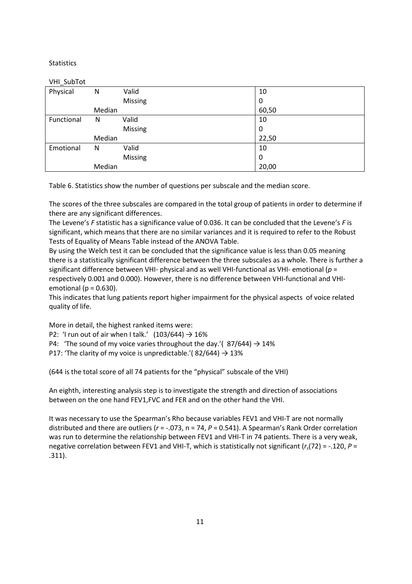## **Statistics**

## VHI\_SubTot

| Physical   | N      | Valid   | 10    |
|------------|--------|---------|-------|
|            |        | Missing | 0     |
|            | Median |         | 60,50 |
| Functional | N      | Valid   | 10    |
|            |        | Missing | 0     |
|            | Median |         | 22,50 |
| Emotional  | N      | Valid   | 10    |
|            |        | Missing | 0     |
|            | Median |         | 20,00 |
|            |        |         |       |

Table 6. Statistics show the number of questions per subscale and the median score.

The scores of the three subscales are compared in the total group of patients in order to determine if there are any significant differences.

The Levene's F statistic has a significance value of 0.036. It can be concluded that the Levene's F is significant, which means that there are no similar variances and it is required to refer to the Robust Tests of Equality of Means Table instead of the ANOVA Table.

By using the Welch test it can be concluded that the significance value is less than 0.05 meaning there is a statistically significant difference between the three subscales as a whole. There is further a significant difference between VHI- physical and as well VHI-functional as VHI- emotional ( $p =$ respectively 0.001 and 0.000). However, there is no difference between VHI-functional and VHIemotional ( $p = 0.630$ ).

This indicates that lung patients report higher impairment for the physical aspects of voice related quality of life.

More in detail, the highest ranked items were:

P2: 'I run out of air when I talk.'  $(103/644) \rightarrow 16\%$ 

P4: 'The sound of my voice varies throughout the day.'( $87/644$ )  $\rightarrow$  14%

P17: 'The clarity of my voice is unpredictable.'( $82/644$ )  $\rightarrow$  13%

(644 is the total score of all 74 patients for the "physical" subscale of the VHI)

An eighth, interesting analysis step is to investigate the strength and direction of associations between on the one hand FEV1,FVC and FER and on the other hand the VHI.

It was necessary to use the Spearman's Rho because variables FEV1 and VHI-T are not normally distributed and there are outliers ( $r = -.073$ ,  $n = 74$ ,  $P = 0.541$ ). A Spearman's Rank Order correlation was run to determine the relationship between FEV1 and VHI-T in 74 patients. There is a very weak, negative correlation between FEV1 and VHI-T, which is statistically not significant  $(r_s(72) = -.120, P =$ .311).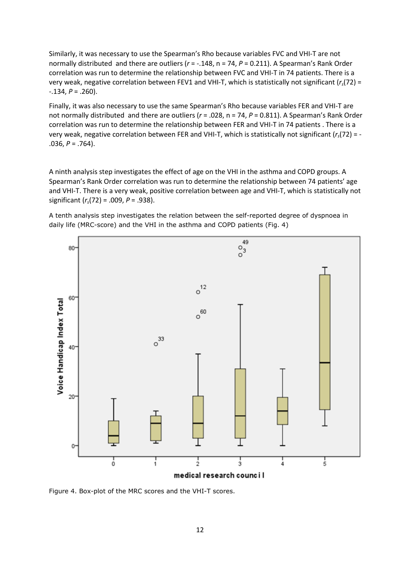Similarly, it was necessary to use the Spearman's Rho because variables FVC and VHI-T are not normally distributed and there are outliers ( $r = -.148$ ,  $n = 74$ ,  $P = 0.211$ ). A Spearman's Rank Order correlation was run to determine the relationship between FVC and VHI-T in 74 patients. There is a very weak, negative correlation between FEV1 and VHI-T, which is statistically not significant  $(r<sub>s</sub>(72) =$  $-.134, P = .260$ ).

Finally, it was also necessary to use the same Spearman's Rho because variables FER and VHI-T are not normally distributed and there are outliers ( $r = .028$ ,  $n = 74$ ,  $P = 0.811$ ). A Spearman's Rank Order correlation was run to determine the relationship between FER and VHI-T in 74 patients . There is a very weak, negative correlation between FER and VHI-T, which is statistically not significant ( $r_s$ (72) = - $.036, P = .764$ ).

A ninth analysis step investigates the effect of age on the VHI in the asthma and COPD groups. A Spearman's Rank Order correlation was run to determine the relationship between 74 patients' age and VHI-T. There is a very weak, positive correlation between age and VHI-T, which is statistically not significant  $(r_s(72) = .009, P = .938)$ .

A tenth analysis step investigates the relation between the self-reported degree of dyspnoea in daily life (MRC-score) and the VHI in the asthma and COPD patients (Fig. 4)



Figure 4. Box-plot of the MRC scores and the VHI-T scores.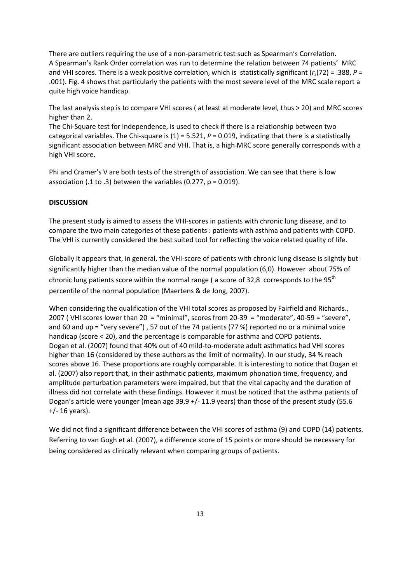There are outliers requiring the use of a non-parametric test such as Spearman's Correlation. A Spearman's Rank Order correlation was run to determine the relation between 74 patients' MRC and VHI scores. There is a weak positive correlation, which is statistically significant  $(r<sub>s</sub>(72) = .388, P =$ .001). Fig. 4 shows that particularly the patients with the most severe level of the MRC scale report a quite high voice handicap.

The last analysis step is to compare VHI scores ( at least at moderate level, thus > 20) and MRC scores higher than 2.

The Chi-Square test for independence, is used to check if there is a relationship between two categorical variables. The Chi-square is  $(1) = 5.521$ ,  $P = 0.019$ , indicating that there is a statistically significant association between MRC and VHI. That is, a high-MRC score generally corresponds with a high VHI score.

Phi and Cramer's V are both tests of the strength of association. We can see that there is low association (.1 to .3) between the variables (0.277,  $p = 0.019$ ).

#### **DISCUSSION**

The present study is aimed to assess the VHI-scores in patients with chronic lung disease, and to compare the two main categories of these patients : patients with asthma and patients with COPD. The VHI is currently considered the best suited tool for reflecting the voice related quality of life.

Globally it appears that, in general, the VHI-score of patients with chronic lung disease is slightly but significantly higher than the median value of the normal population (6,0). However about 75% of chronic lung patients score within the normal range (a score of 32,8 corresponds to the 95<sup>th</sup> percentile of the normal population (Maertens & de Jong, 2007).

When considering the qualification of the VHI total scores as proposed by Fairfield and Richards., 2007 ( VHI scores lower than 20 = "minimal", scores from 20-39 = "moderate", 40-59 = "severe", and 60 and up = "very severe") , 57 out of the 74 patients (77 %) reported no or a minimal voice handicap (score < 20), and the percentage is comparable for asthma and COPD patients. Dogan et al. (2007) found that 40% out of 40 mild-to-moderate adult asthmatics had VHI scores higher than 16 (considered by these authors as the limit of normality). In our study, 34 % reach scores above 16. These proportions are roughly comparable. It is interesting to notice that Dogan et al. (2007) also report that, in their asthmatic patients, maximum phonation time, frequency, and amplitude perturbation parameters were impaired, but that the vital capacity and the duration of illness did not correlate with these findings. However it must be noticed that the asthma patients of Dogan's article were younger (mean age 39,9 +/- 11.9 years) than those of the present study (55.6 +/- 16 years).

We did not find a significant difference between the VHI scores of asthma (9) and COPD (14) patients. Referring to van Gogh et al. (2007), a difference score of 15 points or more should be necessary for being considered as clinically relevant when comparing groups of patients.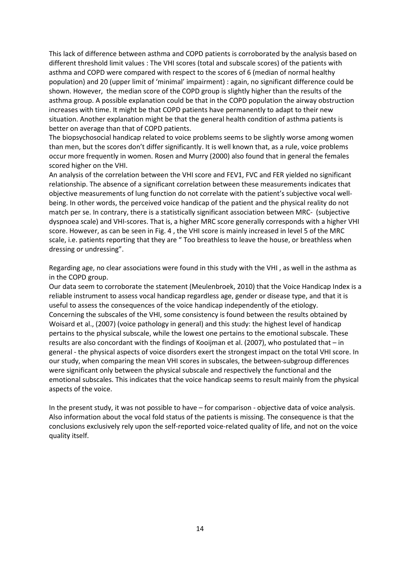This lack of difference between asthma and COPD patients is corroborated by the analysis based on different threshold limit values : The VHI scores (total and subscale scores) of the patients with asthma and COPD were compared with respect to the scores of 6 (median of normal healthy population) and 20 (upper limit of 'minimal' impairment) : again, no significant difference could be shown. However, the median score of the COPD group is slightly higher than the results of the asthma group. A possible explanation could be that in the COPD population the airway obstruction increases with time. It might be that COPD patients have permanently to adapt to their new situation. Another explanation might be that the general health condition of asthma patients is better on average than that of COPD patients.

The biopsychosocial handicap related to voice problems seems to be slightly worse among women than men, but the scores don't differ significantly. It is well known that, as a rule, voice problems occur more frequently in women. Rosen and Murry (2000) also found that in general the females scored higher on the VHI.

An analysis of the correlation between the VHI score and FEV1, FVC and FER yielded no significant relationship. The absence of a significant correlation between these measurements indicates that objective measurements of lung function do not correlate with the patient's subjective vocal wellbeing. In other words, the perceived voice handicap of the patient and the physical reality do not match per se. In contrary, there is a statistically significant association between MRC- (subjective dyspnoea scale) and VHI-scores. That is, a higher MRC score generally corresponds with a higher VHI score. However, as can be seen in Fig. 4 , the VHI score is mainly increased in level 5 of the MRC scale, i.e. patients reporting that they are " Too breathless to leave the house, or breathless when dressing or undressing".

Regarding age, no clear associations were found in this study with the VHI , as well in the asthma as in the COPD group.

Our data seem to corroborate the statement (Meulenbroek, 2010) that the Voice Handicap Index is a reliable instrument to assess vocal handicap regardless age, gender or disease type, and that it is useful to assess the consequences of the voice handicap independently of the etiology. Concerning the subscales of the VHI, some consistency is found between the results obtained by Woisard et al., (2007) (voice pathology in general) and this study: the highest level of handicap pertains to the physical subscale, while the lowest one pertains to the emotional subscale. These results are also concordant with the findings of Kooijman et al. (2007), who postulated that – in general - the physical aspects of voice disorders exert the strongest impact on the total VHI score. In our study, when comparing the mean VHI scores in subscales, the between-subgroup differences were significant only between the physical subscale and respectively the functional and the emotional subscales. This indicates that the voice handicap seems to result mainly from the physical aspects of the voice.

In the present study, it was not possible to have – for comparison - objective data of voice analysis. Also information about the vocal fold status of the patients is missing. The consequence is that the conclusions exclusively rely upon the self-reported voice-related quality of life, and not on the voice quality itself.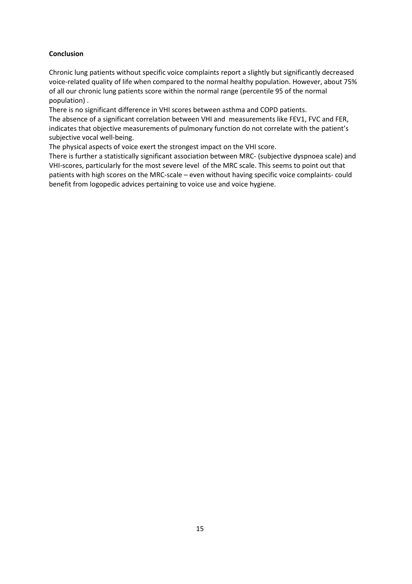## **Conclusion**

Chronic lung patients without specific voice complaints report a slightly but significantly decreased voice-related quality of life when compared to the normal healthy population. However, about 75% of all our chronic lung patients score within the normal range (percentile 95 of the normal population) .

There is no significant difference in VHI scores between asthma and COPD patients. The absence of a significant correlation between VHI and measurements like FEV1, FVC and FER, indicates that objective measurements of pulmonary function do not correlate with the patient's subjective vocal well-being.

The physical aspects of voice exert the strongest impact on the VHI score.

There is further a statistically significant association between MRC- (subjective dyspnoea scale) and VHI-scores, particularly for the most severe level of the MRC scale. This seems to point out that patients with high scores on the MRC-scale – even without having specific voice complaints- could benefit from logopedic advices pertaining to voice use and voice hygiene.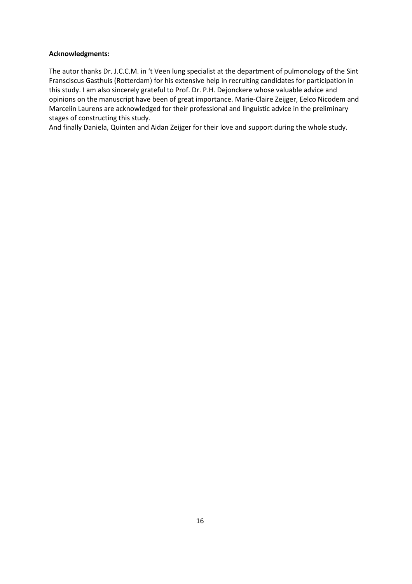## Acknowledgments:

The autor thanks Dr. J.C.C.M. in 't Veen lung specialist at the department of pulmonology of the Sint Fransciscus Gasthuis (Rotterdam) for his extensive help in recruiting candidates for participation in this study. I am also sincerely grateful to Prof. Dr. P.H. Dejonckere whose valuable advice and opinions on the manuscript have been of great importance. Marie-Claire Zeijger, Eelco Nicodem and Marcelin Laurens are acknowledged for their professional and linguistic advice in the preliminary stages of constructing this study.

And finally Daniela, Quinten and Aidan Zeijger for their love and support during the whole study.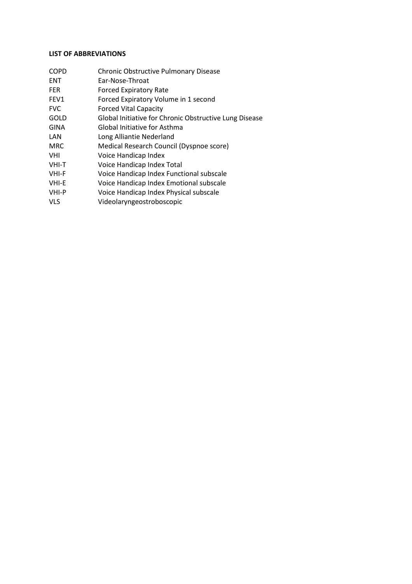## LIST OF ABBREVIATIONS

ENT Ear-Nose-Throat FER Forced Expiratory Rate FEV1 Forced Expiratory Volume in 1 second FVC Forced Vital Capacity GOLD Global Initiative for Chronic Obstructive Lung Disease GINA Global Initiative for Asthma LAN Long Alliantie Nederland MRC Medical Research Council (Dyspnoe score) VHI Voice Handicap Index<br>VHI-T Voice Handicap Index Voice Handicap Index Total VHI-F Voice Handicap Index Functional subscale VHI-E Voice Handicap Index Emotional subscale VHI-P Voice Handicap Index Physical subscale

COPD Chronic Obstructive Pulmonary Disease

VLS Videolaryngeostroboscopic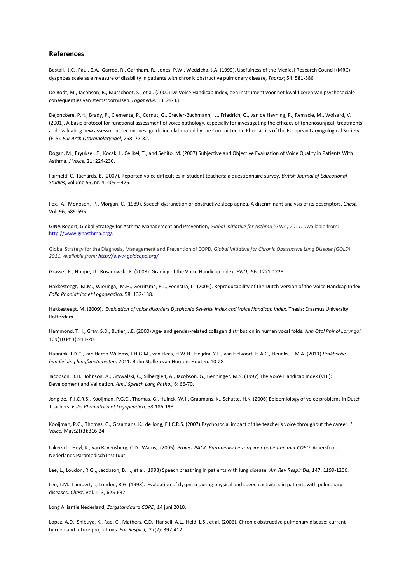#### References

Bestall, J.C., Paul, E.A., Garrod, R., Garnham. R., Jones, P.W., Wedzicha, J.A. (1999). Usefulness of the Medical Research Council (MRC) dyspnoea scale as a measure of disability in patients with chronic obstructive pulmonary disease, Thorax; 54: 581-586.

De Bodt, M., Jacobson, B., Musschoot, S., et al. (2000) De Voice Handicap Index, een instrument voor het kwalificeren van psychosociale consequenties van stemstoornissen. Logopedie, 13: 29-33.

Dejonckere, P.H., Brady, P., Clemente, P., Cornut, G., Crevier-Buchmann, L., Friedrich, G., van de Heyning, P., Remacle, M., Woisard, V. (2001). A basic protocol for functional assessment of voice pathology, especially for investigating the efficacy of (phonosurgical) treatments and evaluating new assessment techniques: guideline elaborated by the Committee on Phoniatrics of the European Laryngological Society (ELS). Eur Arch Otorhinolaryngol, 258: 77-82.

Dogan, M., Eryuksel, E., Kocak, I., Celikel, T., and Sehito, M. (2007) Subjective and Objective Evaluation of Voice Quality in Patients With Asthma. J Voice, 21: 224-230.

Fairfield, C., Richards, B. (2007). Reported voice difficulties in student teachers: a questionnaire survey. British Journal of Educational Studies, volume 55, nr. 4: 409 – 425.

Fox, A., Monoson, P., Morgan, C. (1989). Speech dysfunction of obstructive sleep apnea. A discriminant analysis of its descriptors. Chest. Vol. 96, 589-595.

GINA Report, Global Strategy for Asthma Management and Prevention, Global Initiative for Asthma (GINA) 2011. Available from: http://www.ginasthma.org/.

Global Strategy for the Diagnosis, Management and Prevention of COPD, Global Initiative for Chronic Obstructive Lung Disease (GOLD) 2011. Available from: http://www.goldcopd.org/.

Grassel, E., Hoppe, U., Rosanowski, F. (2008). Grading of the Voice Handicap Index. HNO, 56: 1221-1228.

Hakkesteegt, M.M., Wieringa, M.H., Gerritsma, E.J., Feenstra, L. (2006). Reproducability of the Dutch Version of the Voice Handcap Index. Folia Phoniatrica et Logopeadica. 58; 132-138.

Hakkesteegt, M. (2009). Evaluation of voice disorders Dysphonia Severity Index and Voice Handicap Index, Thesis: Erasmus University Rotterdam.

Hammond, T.H., Gray, S.D., Butler, J.E. (2000) Age- and gender-related collagen distribution in human vocal folds. Ann Otol Rhinol Laryngol, 109(10 Pt 1):913-20.

Hannink, J.D.C., van Haren-Willems, J.H.G.M., van Hees, H.W.H., Heijdra, Y.F., van Helvoort, H.A.C., Heunks, L.M.A. (2011) Praktische handleiding longfunctietesten. 2011. Bohn Stafleu van Houten. Houten. 10-28

Jacobson, B.H., Johnson, A., Grywalski, C., Silbergleit, A., Jacobson, G., Benninger, M.S. (1997) The Voice Handicap Index (VHI): Development and Validation. Am J Speech Lang Pathol, 6: 66-70.

Jong de, F.I.C.R.S., Kooijman, P.G.C., Thomas, G., Huinck, W.J., Graamans, K., Schutte, H.K. (2006) Epidemiology of voice problems in Dutch Teachers. Folia Phoniatrica et Logopeadica, 58;186-198.

Kooijman, P.G., Thomas. G., Graamans, K., de Jong, F.I.C.R.S. (2007) Psychosocial impact of the teacher's voice throughout the career. J Voice, May;21(3):316-24.

Lakerveld-Heyl, K., van Ravensberg, C.D., Wams, (2005). Project PACK: Paramedische zorg voor patiënten met COPD. Amersfoort: Nederlands Paramedisch Instituut.

Lee, L., Loudon, R.G.,, Jacobson, B.H., et al. (1993) Speech breathing in patients with lung disease. Am Rev Respir Dis, 147: 1199-1206.

Lee, L.M., Lambert, I., Loudon, R.G. (1998). Evaluation of dyspneu during physical and speech activities in patients with pulmonary diseases. Chest. Vol. 113, 625-632.

Long Alliantie Nederland, Zorgstandaard COPD, 14 juni 2010.

Lopez, A.D., Shibuya, K., Rao, C., Mathers, C.D., Hansell, A.L., Held, L.S., et al. (2006). Chronic obstructive pulmonary disease: current burden and future projections. Eur Respir J, 27(2): 397-412.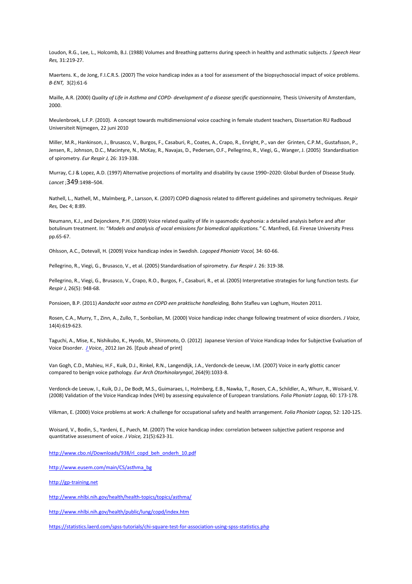Loudon, R.G., Lee, L., Holcomb, B.J. (1988) Volumes and Breathing patterns during speech in healthy and asthmatic subjects. J Speech Hear Res, 31:219-27.

Maertens. K., de Jong, F.I.C.R.S. (2007) The voice handicap index as a tool for assessment of the biopsychosocial impact of voice problems. B-ENT, 3(2):61-6

Maille, A.R. (2000) Quality of Life in Asthma and COPD- development of a disease specific questionnaire, Thesis University of Amsterdam, 2000.

Meulenbroek, L.F.P. (2010). A concept towards multidimensional voice coaching in female student teachers, Dissertation RU Radboud Universiteit Nijmegen, 22 juni 2010

Miller, M.R., Hankinson, J., Brusasco, V., Burgos, F., Casaburi, R., Coates, A., Crapo, R., Enright, P., van der Grinten, C.P.M., Gustafsson, P., Jensen, R., Johnson, D.C., Macintyre, N., McKay, R., Navajas, D., Pedersen, O.F., Pellegrino, R., Viegi, G., Wanger, J. (2005) Standardisation of spirometry. Eur Respir J, 26: 319-338.

Murray, C.J & Lopez, A.D. (1997) Alternative projections of mortality and disability by cause 1990–2020: Global Burden of Disease Study. Lancet ;349:1498–504.

Nathell, L., Nathell, M., Malmberg, P., Larsson, K. (2007) COPD diagnosis related to different guidelines and spirometry techniques. Respir Res, Dec 4; 8:89.

Neumann, K.J., and Dejonckere, P.H. (2009) Voice related quality of life in spasmodic dysphonia: a detailed analysis before and after botulinum treatment. In: "Models and analysis of vocal emissions for biomedical applications." C. Manfredi, Ed. Firenze University Press pp.65-67.

Ohlsson, A.C., Dotevall, H. (2009) Voice handicap index in Swedish. Logoped Phoniatr Vocol, 34: 60-66.

Pellegrino, R., Viegi, G., Brusasco, V., et al. (2005) Standardisation of spirometry. Eur Respir J. 26: 319-38.

Pellegrino, R., Viegi, G., Brusasco, V., Crapo, R.O., Burgos, F., Casaburi, R., et al. (2005) Interpretative strategies for lung function tests. Eur Respir J, 26(5): 948-68.

Ponsioen, B.P. (2011) Aandacht voor astma en COPD een praktische handleiding, Bohn Stafleu van Loghum, Houten 2011.

Rosen, C.A., Murry, T., Zinn, A., Zullo, T., Sonbolian, M. (2000) Voice handicap indec change following treatment of voice disorders. J Voice, 14(4):619-623.

Taguchi, A., Mise, K., Nishikubo, K., Hyodo, M., Shiromoto, O. (2012) Japanese Version of Voice Handicap Index for Subjective Evaluation of Voice Disorder. *J Voice*, 2012 Jan 26. [Epub ahead of print]

Van Gogh, C.D., Mahieu, H.F., Kuik, D.J., Rinkel, R.N., Langendijk, J.A., Verdonck-de Leeuw, I.M. (2007) Voice in early glottic cancer compared to benign voice pathology. Eur Arch Otorhinolaryngol, 264(9):1033-8.

Verdonck-de Leeuw, I., Kuik, D.J., De Bodt, M.S., Guimaraes, I., Holmberg, E.B., Nawka, T., Rosen, C.A., Schildler, A., Whurr, R., Woisard, V. (2008) Validation of the Voice Handicap Index (VHI) by assessing equivalence of European translations. Folia Phoniatr Logop, 60: 173-178.

Vilkman, E. (2000) Voice problems at work: A challenge for occupational safety and health arrangement. Folia Phoniatr Logop, 52: 120-125.

Woisard, V., Bodin, S., Yardeni, E., Puech, M. (2007) The voice handicap index: correlation between subjective patient response and quantitative assessment of voice. J Voice, 21(5):623-31.

http://www.cbo.nl/Downloads/938/rl\_copd\_beh\_onderh\_10.pdf

http://www.eusem.com/main/CS/asthma\_bg

http://gp-training.net

http://www.nhlbi.nih.gov/health/health-topics/topics/asthma/

http://www.nhlbi.nih.gov/health/public/lung/copd/index.htm

https://statistics.laerd.com/spss-tutorials/chi-square-test-for-association-using-spss-statistics.php